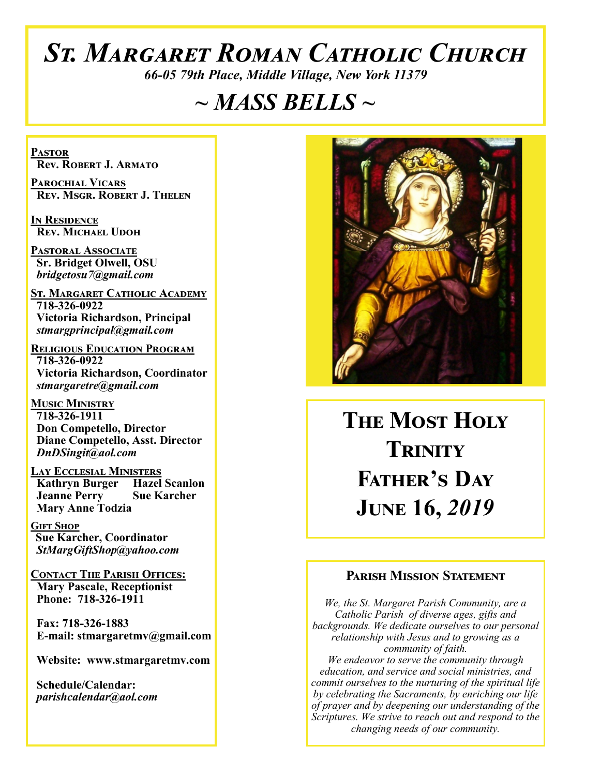# *St. Margaret Roman Catholic Church*

*66-05 79th Place, Middle Village, New York 11379*

# *~ MASS BELLS ~*

**Pastor Rev. Robert J. Armato**

**Parochial Vicars Rev. Msgr. Robert J. Thelen**

**In Residence Rev. Michael Udoh**

**Pastoral Associate Sr. Bridget Olwell, OSU**  *bridgetosu7@gmail.com*

**St. Margaret Catholic Academy 718-326-0922 Victoria Richardson, Principal**  *stmargprincipal@gmail.com*

**Religious Education Program 718-326-0922 Victoria Richardson, Coordinator** *stmargaretre@gmail.com*

**Music Ministry 718-326-1911 Don Competello, Director Diane Competello, Asst. Director** *DnDSingit@aol.com*

**Lay Ecclesial Ministers Kathryn Burger Hazel Scanlon**<br>**Jeanne Perry Sue Karcher Jeanne Perry Mary Anne Todzia**

**Gift Shop Sue Karcher, Coordinator** *StMargGiftShop@yahoo.com*

**Contact The Parish Offices: Mary Pascale, Receptionist Phone: 718-326-1911** 

 **Fax: 718-326-1883 E-mail: stmargaretmv@gmail.com**

 **Website: www.stmargaretmv.com**

 **Schedule/Calendar:** *parishcalendar@aol.com* 



**The Most Holy Trinity Father's Day June 16,** *2019* 

### **Parish Mission Statement**

*We, the St. Margaret Parish Community, are a Catholic Parish of diverse ages, gifts and backgrounds. We dedicate ourselves to our personal relationship with Jesus and to growing as a community of faith. We endeavor to serve the community through education, and service and social ministries, and commit ourselves to the nurturing of the spiritual life by celebrating the Sacraments, by enriching our life of prayer and by deepening our understanding of the Scriptures. We strive to reach out and respond to the changing needs of our community.*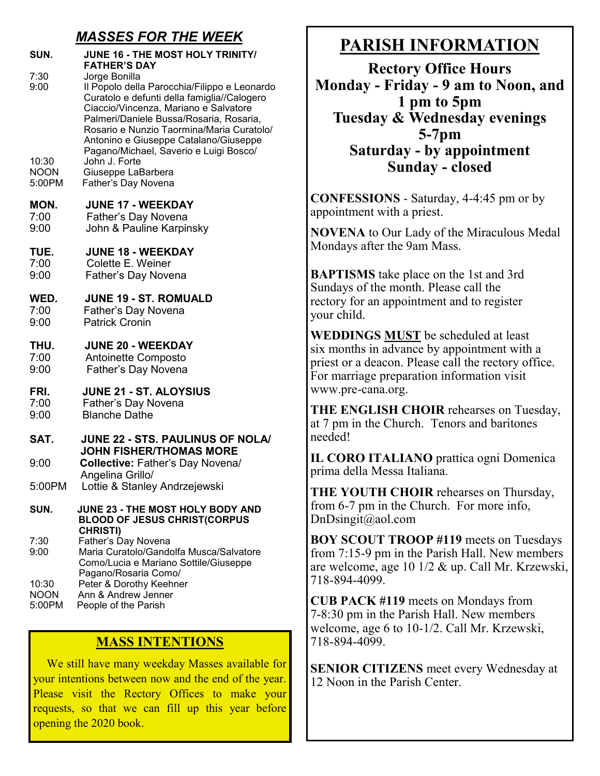# *MASSES FOR THE WEEK*

| SUN.                                           | JUNE 16 - THE MOST HOLY TRINITY/<br><b>FATHER'S DAY</b>                                                                                                                                                                                                                                                                                                                                        |
|------------------------------------------------|------------------------------------------------------------------------------------------------------------------------------------------------------------------------------------------------------------------------------------------------------------------------------------------------------------------------------------------------------------------------------------------------|
| 7:30<br>9:00<br>10:30<br><b>NOON</b><br>5:00PM | Jorge Bonilla<br>Il Popolo della Parocchia/Filippo e Leonardo<br>Curatolo e defunti della famiglia//Calogero<br>Ciaccio/Vincenza, Mariano e Salvatore<br>Palmeri/Daniele Bussa/Rosaria, Rosaria,<br>Rosario e Nunzio Taormina/Maria Curatolo/<br>Antonino e Giuseppe Catalano/Giuseppe<br>Pagano/Michael, Saverio e Luigi Bosco/<br>John J. Forte<br>Giuseppe LaBarbera<br>Father's Day Novena |
| MON.<br>7:00<br>9:00                           | <b>JUNE 17 - WEEKDAY</b><br>Father's Day Novena<br>John & Pauline Karpinsky                                                                                                                                                                                                                                                                                                                    |
| TUE.<br>7:00<br>9:00                           | <b>JUNE 18 - WEEKDAY</b><br>Colette E. Weiner<br>Father's Day Novena                                                                                                                                                                                                                                                                                                                           |
| WED.<br>7:00<br>9:00                           | <b>JUNE 19 - ST. ROMUALD</b><br>Father's Day Novena<br><b>Patrick Cronin</b>                                                                                                                                                                                                                                                                                                                   |
| THU.<br>7:00<br>9:00                           | <b>JUNE 20 - WEEKDAY</b><br>Antoinette Composto<br>Father's Day Novena                                                                                                                                                                                                                                                                                                                         |
| FRI.<br>7:00<br>9:00                           | <b>JUNE 21 - ST. ALOYSIUS</b><br>Father's Day Novena<br><b>Blanche Dathe</b>                                                                                                                                                                                                                                                                                                                   |
| SAT.                                           | JUNE 22 - STS. PAULINUS OF NOLA/                                                                                                                                                                                                                                                                                                                                                               |
| 9:00                                           | <b>JOHN FISHER/THOMAS MORE</b><br>Collective: Father's Day Novena/                                                                                                                                                                                                                                                                                                                             |
| 5:00PM                                         | Angelina Grillo/<br>Lottie & Stanley Andrzejewski                                                                                                                                                                                                                                                                                                                                              |
| SUN.                                           | JUNE 23 - THE MOST HOLY BODY AND<br><b>BLOOD OF JESUS CHRIST(CORPUS</b>                                                                                                                                                                                                                                                                                                                        |
| 7:30<br>9:00                                   | <b>CHRISTI)</b><br>Father's Day Novena<br>Maria Curatolo/Gandolfa Musca/Salvatore<br>Como/Lucia e Mariano Sottile/Giuseppe                                                                                                                                                                                                                                                                     |
| 10:30<br><b>NOON</b><br>5:00PM                 | Pagano/Rosaria Como/<br>Peter & Dorothy Keehner<br>Ann & Andrew Jenner<br>People of the Parish                                                                                                                                                                                                                                                                                                 |

## **MASS INTENTIONS**

 We still have many weekday Masses available for your intentions between now and the end of the year. Please visit the Rectory Offices to make your requests, so that we can fill up this year before opening the 2020 book.

# **PARISH INFORMATION**

**Rectory Office Hours Monday - Friday - 9 am to Noon, and 1 pm to 5pm Tuesday & Wednesday evenings 5-7pm Saturday - by appointment Sunday - closed**

**CONFESSIONS** - Saturday, 4-4:45 pm or by appointment with a priest.

**NOVENA** to Our Lady of the Miraculous Medal Mondays after the 9am Mass.

**BAPTISMS** take place on the 1st and 3rd Sundays of the month. Please call the rectory for an appointment and to register your child.

**WEDDINGS MUST** be scheduled at least six months in advance by appointment with a priest or a deacon. Please call the rectory office. For marriage preparation information visit www.pre-cana.org.

**THE ENGLISH CHOIR** rehearses on Tuesday, at 7 pm in the Church. Tenors and baritones needed!

**IL CORO ITALIANO** prattica ogni Domenica prima della Messa Italiana.

**THE YOUTH CHOIR** rehearses on Thursday, from 6-7 pm in the Church. For more info, DnDsingit@aol.com

**BOY SCOUT TROOP #119** meets on Tuesdays from 7:15-9 pm in the Parish Hall. New members are welcome, age 10 1/2 & up. Call Mr. Krzewski, 718-894-4099.

**CUB PACK #119** meets on Mondays from 7-8:30 pm in the Parish Hall. New members welcome, age 6 to 10-1/2. Call Mr. Krzewski, 718-894-4099.

**SENIOR CITIZENS** meet every Wednesday at 12 Noon in the Parish Center.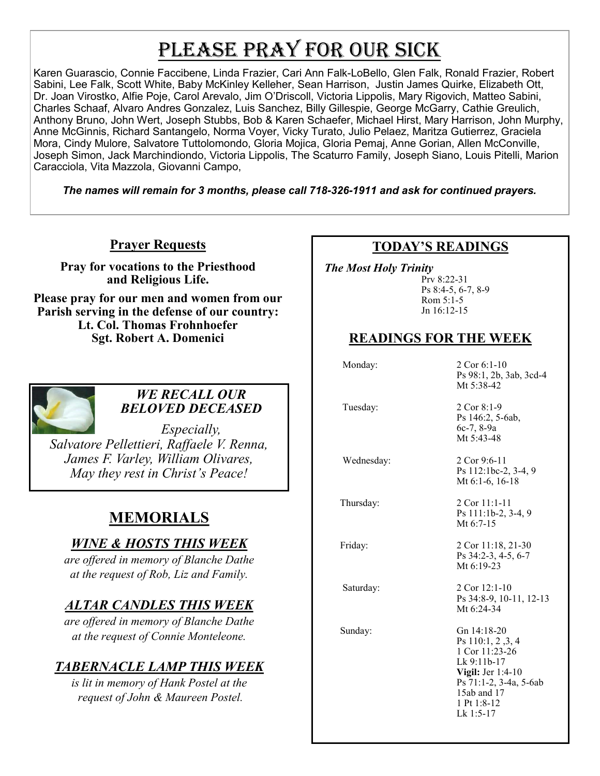# PLEASE PRAY FOR OUR SICK

Karen Guarascio, Connie Faccibene, Linda Frazier, Cari Ann Falk-LoBello, Glen Falk, Ronald Frazier, Robert Sabini, Lee Falk, Scott White, Baby McKinley Kelleher, Sean Harrison, Justin James Quirke, Elizabeth Ott, Dr. Joan Virostko, Alfie Poje, Carol Arevalo, Jim O'Driscoll, Victoria Lippolis, Mary Rigovich, Matteo Sabini, Charles Schaaf, Alvaro Andres Gonzalez, Luis Sanchez, Billy Gillespie, George McGarry, Cathie Greulich, Anthony Bruno, John Wert, Joseph Stubbs, Bob & Karen Schaefer, Michael Hirst, Mary Harrison, John Murphy, Anne McGinnis, Richard Santangelo, Norma Voyer, Vicky Turato, Julio Pelaez, Maritza Gutierrez, Graciela Mora, Cindy Mulore, Salvatore Tuttolomondo, Gloria Mojica, Gloria Pemaj, Anne Gorian, Allen McConville, Joseph Simon, Jack Marchindiondo, Victoria Lippolis, The Scaturro Family, Joseph Siano, Louis Pitelli, Marion Caracciola, Vita Mazzola, Giovanni Campo,

*The names will remain for 3 months, please call 718-326-1911 and ask for continued prayers.*

## **Prayer Requests**

**Pray for vocations to the Priesthood and Religious Life.** 

**Please pray for our men and women from our Parish serving in the defense of our country: Lt. Col. Thomas Frohnhoefer Sgt. Robert A. Domenici** 



### *WE RECALL OUR BELOVED DECEASED*

*Especially, Salvatore Pellettieri, Raffaele V. Renna, James F. Varley, William Olivares, May they rest in Christ's Peace!*

# **MEMORIALS**

# *WINE & HOSTS THIS WEEK*

*are offered in memory of Blanche Dathe at the request of Rob, Liz and Family.* 

# *ALTAR CANDLES THIS WEEK*

*are offered in memory of Blanche Dathe at the request of Connie Monteleone.*

# *TABERNACLE LAMP THIS WEEK*

*is lit in memory of Hank Postel at the request of John & Maureen Postel.*

# **TODAY'S READINGS**

 *The Most Holy Trinity* 

Prv 8:22-31 Ps 8:4-5, 6-7, 8-9 Rom 5:1-5 Jn 16:12-15

# **READINGS FOR THE WEEK**

Monday: 2 Cor 6:1-10

Ps 98:1, 2b, 3ab, 3cd-4 Mt 5:38-42 Tuesday: 2 Cor 8:1-9 Ps 146:2, 5-6ab, 6c-7, 8-9a Mt 5:43-48 Wednesday: 2 Cor 9:6-11

Ps 112:1bc-2, 3-4, 9 Mt 6:1-6, 16-18

 Thursday: 2 Cor 11:1-11 Ps 111:1b-2, 3-4, 9 Mt 6:7-15

Friday: 2 Cor 11:18, 21-30 Ps 34:2-3, 4-5, 6-7 Mt 6:19-23

Saturday: 2 Cor 12:1-10 Ps 34:8-9, 10-11, 12-13 Mt 6:24-34

 Sunday: Gn 14:18-20 Ps 110:1, 2 ,3, 4 1 Cor 11:23-26 Lk 9:11b-17 **Vigil:** Jer 1:4-10 Ps 71:1-2, 3-4a, 5-6ab 15ab and 17 1 Pt 1:8-12 Lk 1:5-17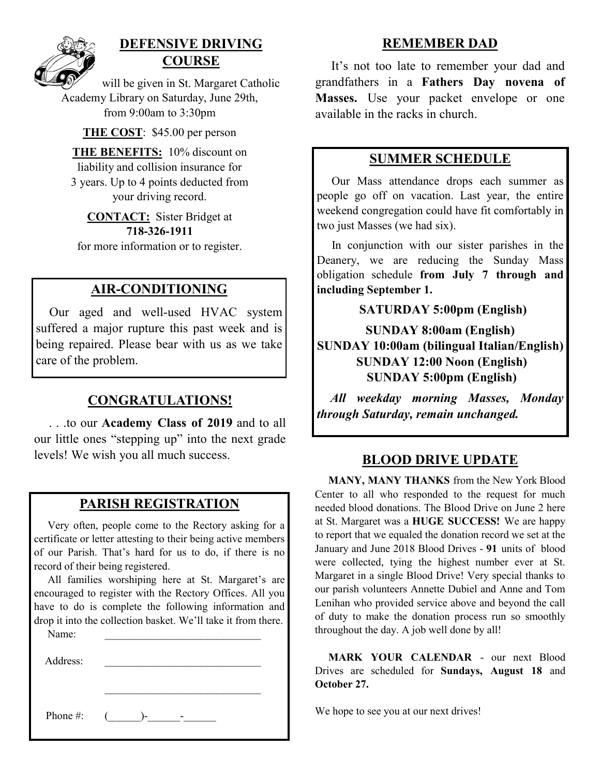

# **DEFENSIVE DRIVING COURSE**

will be given in St. Margaret Catholic Academy Library on Saturday, June 29th, from 9:00am to 3:30pm

**THE COST**: \$45.00 per person

**THE BENEFITS:** 10% discount on liability and collision insurance for 3 years. Up to 4 points deducted from your driving record.

**CONTACT:** Sister Bridget at **718-326-1911** for more information or to register.

# **AIR-CONDITIONING**

 Our aged and well-used HVAC system suffered a major rupture this past week and is being repaired. Please bear with us as we take care of the problem.

# **CONGRATULATIONS!**

 . . .to our **Academy Class of 2019** and to all our little ones "stepping up" into the next grade levels! We wish you all much success. **BLOOD DRIVE UPDATE**

## **PARISH REGISTRATION**

 Very often, people come to the Rectory asking for a certificate or letter attesting to their being active members of our Parish. That's hard for us to do, if there is no record of their being registered.

 All families worshiping here at St. Margaret's are encouraged to register with the Rectory Offices. All you have to do is complete the following information and drop it into the collection basket. We'll take it from there.

| Address: |    |
|----------|----|
| Phone #: | ۰. |

Name:

### **REMEMBER DAD**

 It's not too late to remember your dad and grandfathers in a **Fathers Day novena of Masses.** Use your packet envelope or one available in the racks in church.

### **SUMMER SCHEDULE**

 Our Mass attendance drops each summer as people go off on vacation. Last year, the entire weekend congregation could have fit comfortably in two just Masses (we had six).

 In conjunction with our sister parishes in the Deanery, we are reducing the Sunday Mass obligation schedule **from July 7 through and including September 1.** 

### **SATURDAY 5:00pm (English)**

**SUNDAY 8:00am (English) SUNDAY 10:00am (bilingual Italian/English) SUNDAY 12:00 Noon (English) SUNDAY 5:00pm (English)**

*All weekday morning Masses, Monday through Saturday, remain unchanged.*

 **MANY, MANY THANKS** from the New York Blood Center to all who responded to the request for much needed blood donations. The Blood Drive on June 2 here at St. Margaret was a **HUGE SUCCESS!** We are happy to report that we equaled the donation record we set at the January and June 2018 Blood Drives - **91** units of blood were collected, tying the highest number ever at St. Margaret in a single Blood Drive! Very special thanks to our parish volunteers Annette Dubiel and Anne and Tom Lenihan who provided service above and beyond the call of duty to make the donation process run so smoothly throughout the day. A job well done by all!

 **MARK YOUR CALENDAR** - our next Blood Drives are scheduled for **Sundays, August 18** and **October 27.**

We hope to see you at our next drives!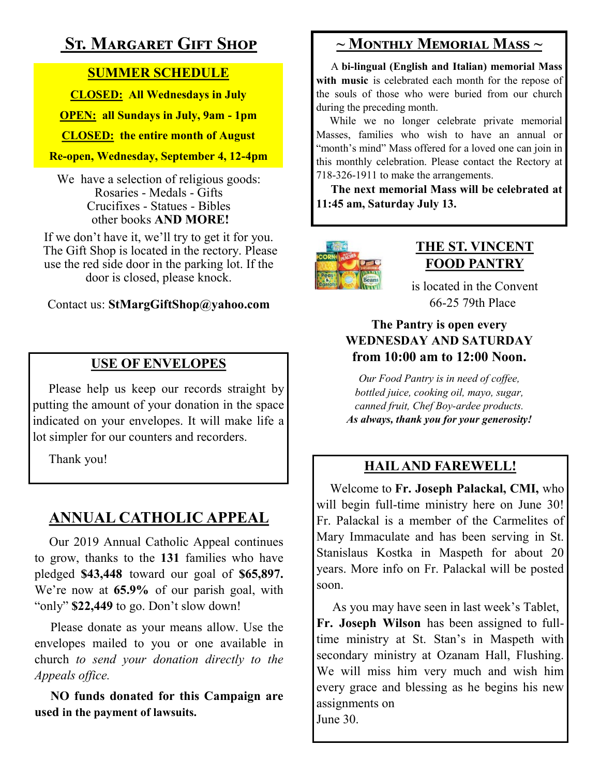# **St. Margaret Gift Shop**

# **SUMMER SCHEDULE**

**CLOSED: All Wednesdays in July**

**OPEN: all Sundays in July, 9am - 1pm**

**CLOSED: the entire month of August**

**Re-open, Wednesday, September 4, 12-4pm** 

We have a selection of religious goods: Rosaries - Medals - Gifts Crucifixes - Statues - Bibles other books **AND MORE!**

If we don't have it, we'll try to get it for you. The Gift Shop is located in the rectory. Please use the red side door in the parking lot. If the door is closed, please knock.

## Contact us: **StMargGiftShop@yahoo.com**

# **USE OF ENVELOPES**

Please help us keep our records straight by putting the amount of your donation in the space indicated on your envelopes. It will make life a lot simpler for our counters and recorders.

Thank you!

# **ANNUAL CATHOLIC APPEAL**

 Our 2019 Annual Catholic Appeal continues to grow, thanks to the **131** families who have pledged **\$43,448** toward our goal of **\$65,897.**  We're now at **65.9%** of our parish goal, with "only" **\$22,449** to go. Don't slow down!

 Please donate as your means allow. Use the envelopes mailed to you or one available in church *to send your donation directly to the Appeals office.*

**NO funds donated for this Campaign are used in the payment of lawsuits.** 

# **~ Monthly Memorial Mass ~**

 A **bi-lingual (English and Italian) memorial Mass with music** is celebrated each month for the repose of the souls of those who were buried from our church during the preceding month.

 While we no longer celebrate private memorial Masses, families who wish to have an annual or "month's mind" Mass offered for a loved one can join in this monthly celebration. Please contact the Rectory at 718-326-1911 to make the arrangements.

 **The next memorial Mass will be celebrated at 11:45 am, Saturday July 13.** 



# **THE ST. VINCENT FOOD PANTRY**

is located in the Convent 66-25 79th Place

# **The Pantry is open every WEDNESDAY AND SATURDAY from 10:00 am to 12:00 Noon.**

*Our Food Pantry is in need of coffee, bottled juice, cooking oil, mayo, sugar, canned fruit, Chef Boy-ardee products. As always, thank you for your generosity!*

# **HAIL AND FAREWELL!**

 Welcome to **Fr. Joseph Palackal, CMI,** who will begin full-time ministry here on June 30! Fr. Palackal is a member of the Carmelites of Mary Immaculate and has been serving in St. Stanislaus Kostka in Maspeth for about 20 years. More info on Fr. Palackal will be posted soon.

 As you may have seen in last week's Tablet, **Fr. Joseph Wilson** has been assigned to fulltime ministry at St. Stan's in Maspeth with secondary ministry at Ozanam Hall, Flushing. We will miss him very much and wish him every grace and blessing as he begins his new assignments on June 30.